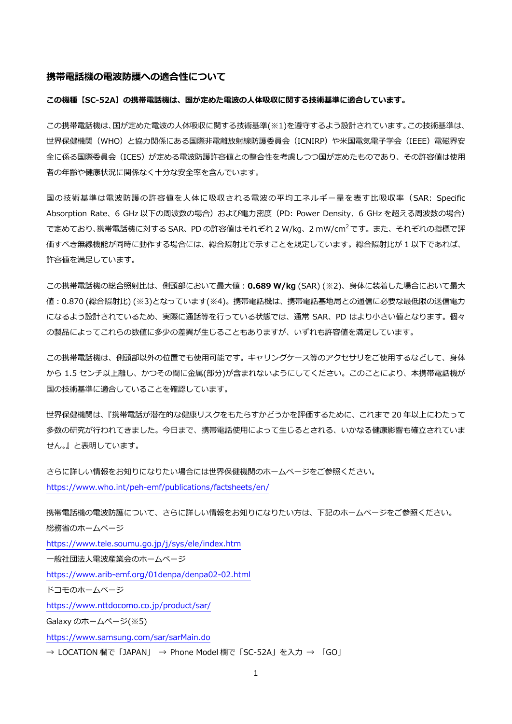#### **携帯電話機の電波防護への適合性について**

#### **この機種【SC-52A】の携帯電話機は、国が定めた電波の⼈体吸収に関する技術基準に適合しています。**

この携帯電話機は、国が定めた電波の人体吸収に関する技術基準(※1)を遵守するよう設計されています。この技術基準は、 世界保健機関(WHO)と協⼒関係にある国際⾮電離放射線防護委員会(ICNIRP)や⽶国電気電⼦学会(IEEE)電磁界安 全に係る国際委員会(ICES)が定める電波防護許容値との整合性を考慮しつつ国が定めたものであり、その許容値は使用 者の年齢や健康状況に関係なく⼗分な安全率を含んでいます。

国の技術基準は電波防護の許容値を⼈体に吸収される電波の平均エネルギー量を表す⽐吸収率(SAR: Specific Absorption Rate、6 GHz 以下の周波数の場合)および電力密度 (PD: Power Density、6 GHz を超える周波数の場合) で定めており、携帯電話機に対する SAR、PD の許容値はそれぞれ 2 W/kg、2 mW/cm<sup>2</sup> です。 また、 それぞれの指標で評 価すべき無線機能が同時に動作する場合には、総合照射比で示すことを規定しています。総合照射比が 1 以下であれば、 許容値を満足しています。

この携帯電話機の総合照射比は、側頭部において最大値: 0.689 W/kg (SAR) (※2)、身体に装着した場合において最大 値:0.870 (総合照射比) (※3)となっています(※4)。携帯電話機は、携帯電話基地局との通信に必要な最低限の送信電力 になるよう設計されているため、実際に通話等を⾏っている状態では、通常 SAR、PD はより⼩さい値となります。個々 の製品によってこれらの数値に多少の差異が生じることもありますが、いずれも許容値を満足しています。

この携帯電話機は、側頭部以外の位置でも使用可能です。キャリングケース等のアクセサリをご使用するなどして、身体 から 1.5 センチ以上離し、かつその間に⾦属(部分)が含まれないようにしてください。このことにより、本携帯電話機が 国の技術基準に適合していることを確認しています。

世界保健機関は、『携帯電話が潜在的な健康リスクをもたらすかどうかを評価するために、これまで 20 年以上にわたって 多数の研究が行われてきました。今日まで、携帯電話使用によって生じるとされる、いかなる健康影響も確立されていま せん。』と表明しています。

さらに詳しい情報をお知りになりたい場合には世界保健機関のホームページをご参照ください。 https://www.who.int/peh-emf/publications/factsheets/en/

携帯電話機の電波防護について、さらに詳しい情報をお知りになりたい方は、下記のホームページをご参照ください。 総務省のホームページ https://www.tele.soumu.go.jp/j/sys/ele/index.htm ⼀般社団法⼈電波産業会のホームページ https://www.arib-emf.org/01denpa/denpa02-02.html ドコモのホームページ https://www.nttdocomo.co.jp/product/sar/ Galaxy のホームページ(※5)

https://www.samsung.com/sar/sarMain.do

→ LOCATION 欄で「JAPAN」 → Phone Model 欄で「SC-52A」を入力 → 「GO」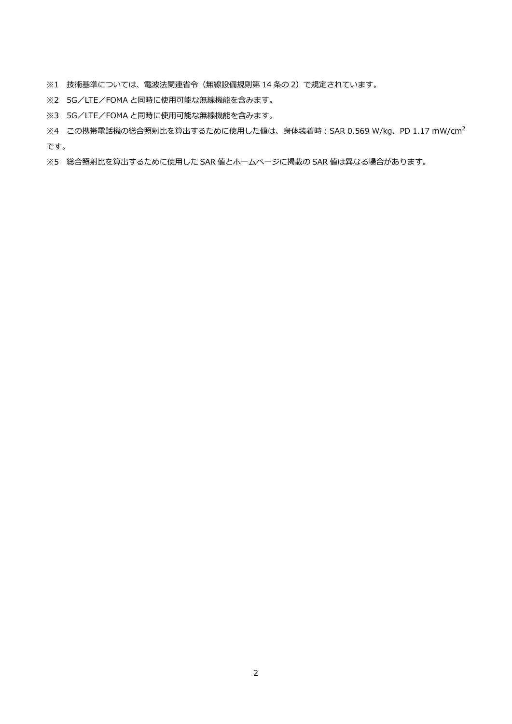- ※1 技術基準については、電波法関連省令(無線設備規則第 14 条の 2)で規定されています。
- ※2 5G/LTE/FOMA と同時に使用可能な無線機能を含みます。
- ※3 5G/LTE/FOMA と同時に使用可能な無線機能を含みます。
- ※4 この携帯電話機の総合照射比を算出するために使用した値は、身体装着時: SAR 0.569 W/kg、PD 1.17 mW/cm<sup>2</sup> です。
- ※5 総合照射比を算出するために使用した SAR 値とホームページに掲載の SAR 値は異なる場合があります。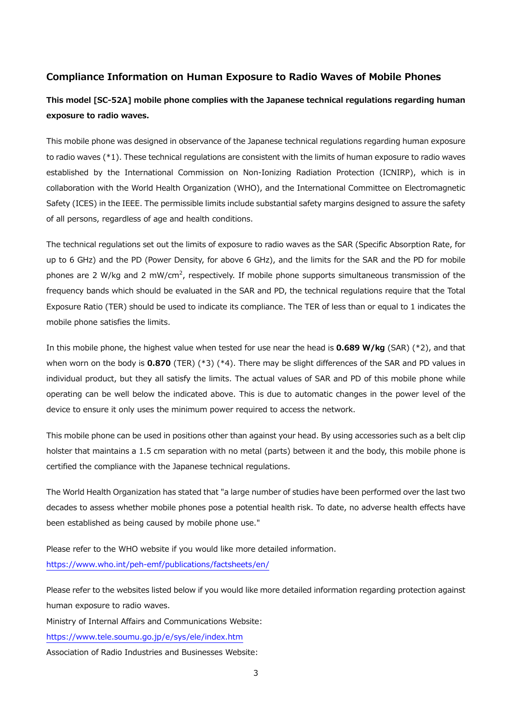# **Compliance Information on Human Exposure to Radio Waves of Mobile Phones**

# **This model [SC-52A] mobile phone complies with the Japanese technical regulations regarding human exposure to radio waves.**

This mobile phone was designed in observance of the Japanese technical regulations regarding human exposure to radio waves (\*1). These technical regulations are consistent with the limits of human exposure to radio waves established by the International Commission on Non-Ionizing Radiation Protection (ICNIRP), which is in collaboration with the World Health Organization (WHO), and the International Committee on Electromagnetic Safety (ICES) in the IEEE. The permissible limits include substantial safety margins designed to assure the safety of all persons, regardless of age and health conditions.

The technical regulations set out the limits of exposure to radio waves as the SAR (Specific Absorption Rate, for up to 6 GHz) and the PD (Power Density, for above 6 GHz), and the limits for the SAR and the PD for mobile phones are 2 W/kg and 2 mW/cm<sup>2</sup>, respectively. If mobile phone supports simultaneous transmission of the frequency bands which should be evaluated in the SAR and PD, the technical regulations require that the Total Exposure Ratio (TER) should be used to indicate its compliance. The TER of less than or equal to 1 indicates the mobile phone satisfies the limits.

In this mobile phone, the highest value when tested for use near the head is **0.689 W/kg** (SAR) (\*2), and that when worn on the body is **0.870** (TER) (\*3) (\*4). There may be slight differences of the SAR and PD values in individual product, but they all satisfy the limits. The actual values of SAR and PD of this mobile phone while operating can be well below the indicated above. This is due to automatic changes in the power level of the device to ensure it only uses the minimum power required to access the network.

This mobile phone can be used in positions other than against your head. By using accessories such as a belt clip holster that maintains a 1.5 cm separation with no metal (parts) between it and the body, this mobile phone is certified the compliance with the Japanese technical regulations.

The World Health Organization has stated that "a large number of studies have been performed over the last two decades to assess whether mobile phones pose a potential health risk. To date, no adverse health effects have been established as being caused by mobile phone use."

Please refer to the WHO website if you would like more detailed information. https://www.who.int/peh-emf/publications/factsheets/en/

Please refer to the websites listed below if you would like more detailed information regarding protection against human exposure to radio waves.

Ministry of Internal Affairs and Communications Website:

https://www.tele.soumu.go.jp/e/sys/ele/index.htm

Association of Radio Industries and Businesses Website: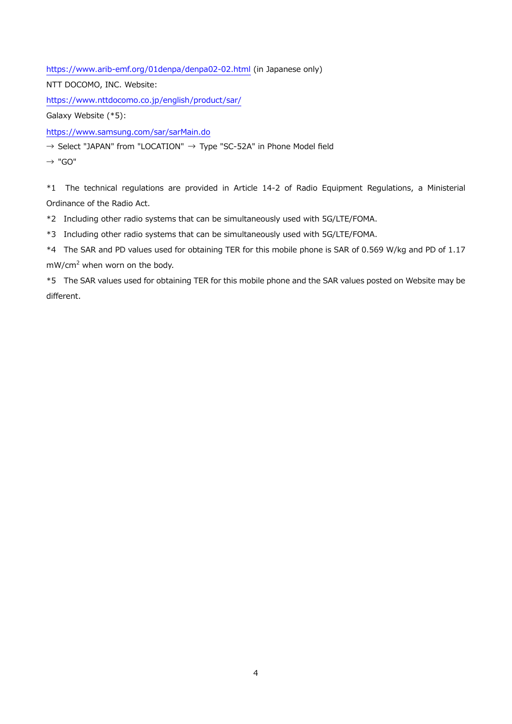https://www.arib-emf.org/01denpa/denpa02-02.html (in Japanese only)

NTT DOCOMO, INC. Website:

https://www.nttdocomo.co.jp/english/product/sar/

Galaxy Website (\*5):

https://www.samsung.com/sar/sarMain.do

 $\rightarrow$  Select "JAPAN" from "LOCATION"  $\rightarrow$  Type "SC-52A" in Phone Model field

 $\rightarrow$  "GO"

\*1 The technical regulations are provided in Article 14-2 of Radio Equipment Regulations, a Ministerial Ordinance of the Radio Act.

\*2 Including other radio systems that can be simultaneously used with 5G/LTE/FOMA.

\*3 Including other radio systems that can be simultaneously used with 5G/LTE/FOMA.

\*4 The SAR and PD values used for obtaining TER for this mobile phone is SAR of 0.569 W/kg and PD of 1.17 mW/cm<sup>2</sup> when worn on the body.

\*5 The SAR values used for obtaining TER for this mobile phone and the SAR values posted on Website may be different.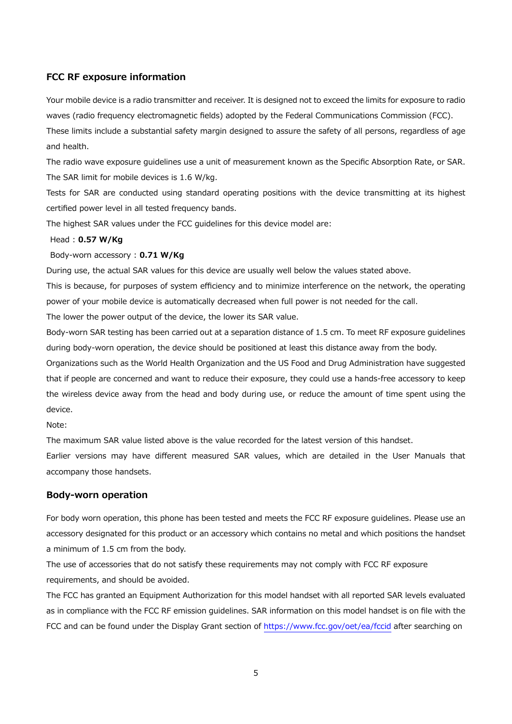# **FCC RF exposure information**

Your mobile device is a radio transmitter and receiver. It is designed not to exceed the limits for exposure to radio waves (radio frequency electromagnetic fields) adopted by the Federal Communications Commission (FCC). These limits include a substantial safety margin designed to assure the safety of all persons, regardless of age and health.

The radio wave exposure guidelines use a unit of measurement known as the Specific Absorption Rate, or SAR. The SAR limit for mobile devices is 1.6 W/kg.

Tests for SAR are conducted using standard operating positions with the device transmitting at its highest certified power level in all tested frequency bands.

The highest SAR values under the FCC guidelines for this device model are:

## Head : **0.57 W/Kg**

#### Body-worn accessory : **0.71 W/Kg**

During use, the actual SAR values for this device are usually well below the values stated above.

This is because, for purposes of system efficiency and to minimize interference on the network, the operating power of your mobile device is automatically decreased when full power is not needed for the call.

The lower the power output of the device, the lower its SAR value.

Body-worn SAR testing has been carried out at a separation distance of 1.5 cm. To meet RF exposure guidelines during body-worn operation, the device should be positioned at least this distance away from the body.

Organizations such as the World Health Organization and the US Food and Drug Administration have suggested that if people are concerned and want to reduce their exposure, they could use a hands-free accessory to keep the wireless device away from the head and body during use, or reduce the amount of time spent using the device.

Note:

The maximum SAR value listed above is the value recorded for the latest version of this handset.

Earlier versions may have different measured SAR values, which are detailed in the User Manuals that accompany those handsets.

### **Body-worn operation**

For body worn operation, this phone has been tested and meets the FCC RF exposure guidelines. Please use an accessory designated for this product or an accessory which contains no metal and which positions the handset a minimum of 1.5 cm from the body.

The use of accessories that do not satisfy these requirements may not comply with FCC RF exposure requirements, and should be avoided.

The FCC has granted an Equipment Authorization for this model handset with all reported SAR levels evaluated as in compliance with the FCC RF emission guidelines. SAR information on this model handset is on file with the FCC and can be found under the Display Grant section of https://www.fcc.gov/oet/ea/fccid after searching on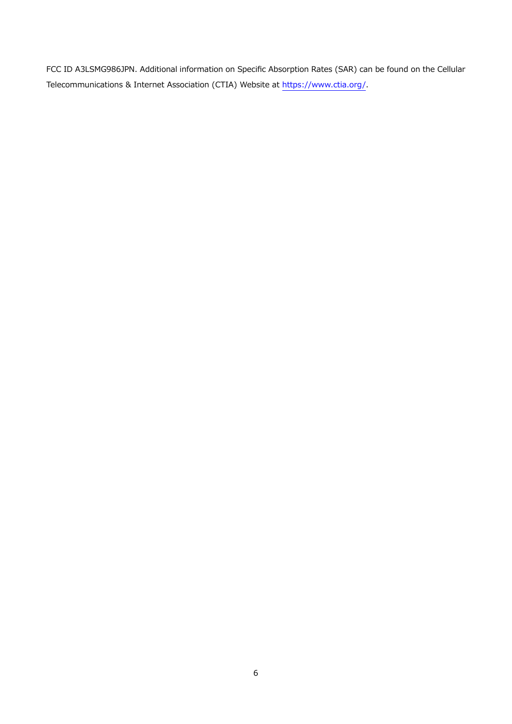FCC ID A3LSMG986JPN. Additional information on Specific Absorption Rates (SAR) can be found on the Cellular Telecommunications & Internet Association (CTIA) Website at https://www.ctia.org/.